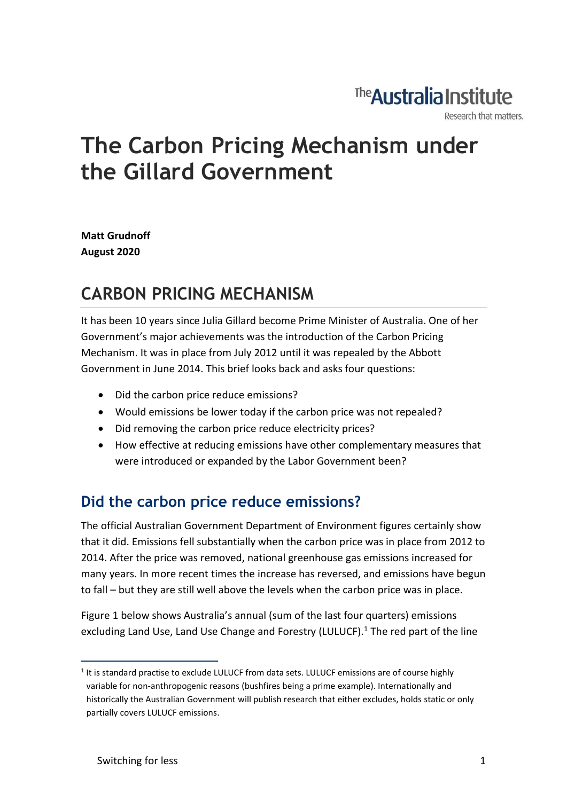### The **Australia Institute** Research that matters.

# The Carbon Pricing Mechanism under the Gillard Government

Matt Grudnoff August 2020

## CARBON PRICING MECHANISM

It has been 10 years since Julia Gillard become Prime Minister of Australia. One of her Government's major achievements was the introduction of the Carbon Pricing Mechanism. It was in place from July 2012 until it was repealed by the Abbott Government in June 2014. This brief looks back and asks four questions:

- Did the carbon price reduce emissions?
- Would emissions be lower today if the carbon price was not repealed?
- Did removing the carbon price reduce electricity prices?
- How effective at reducing emissions have other complementary measures that were introduced or expanded by the Labor Government been?

### Did the carbon price reduce emissions?

The official Australian Government Department of Environment figures certainly show that it did. Emissions fell substantially when the carbon price was in place from 2012 to 2014. After the price was removed, national greenhouse gas emissions increased for many years. In more recent times the increase has reversed, and emissions have begun to fall – but they are still well above the levels when the carbon price was in place.

Figure 1 below shows Australia's annual (sum of the last four quarters) emissions excluding Land Use, Land Use Change and Forestry (LULUCF).<sup>1</sup> The red part of the line

<sup>&</sup>lt;sup>1</sup> It is standard practise to exclude LULUCF from data sets. LULUCF emissions are of course highly variable for non-anthropogenic reasons (bushfires being a prime example). Internationally and historically the Australian Government will publish research that either excludes, holds static or only partially covers LULUCF emissions.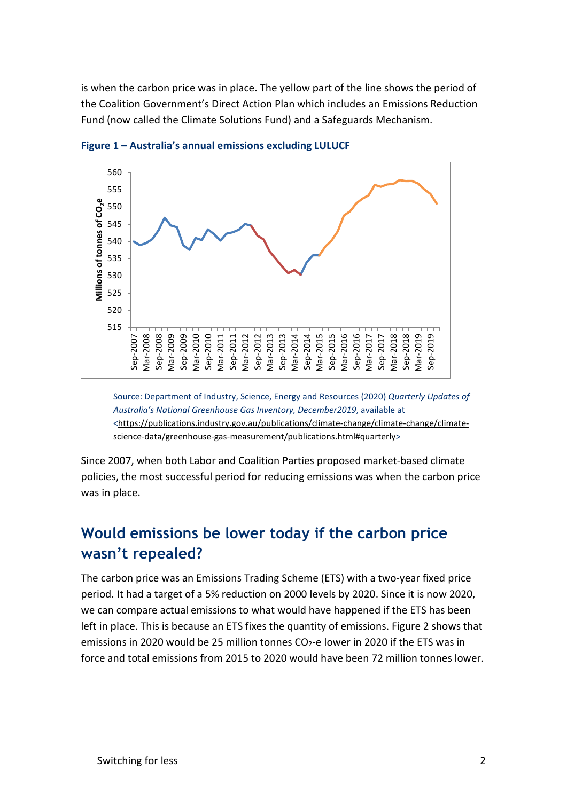is when the carbon price was in place. The yellow part of the line shows the period of the Coalition Government's Direct Action Plan which includes an Emissions Reduction Fund (now called the Climate Solutions Fund) and a Safeguards Mechanism.



Figure 1 – Australia's annual emissions excluding LULUCF

Source: Department of Industry, Science, Energy and Resources (2020) Quarterly Updates of Australia's National Greenhouse Gas Inventory, December2019, available at <https://publications.industry.gov.au/publications/climate-change/climate-change/climatescience-data/greenhouse-gas-measurement/publications.html#quarterly>

Since 2007, when both Labor and Coalition Parties proposed market-based climate policies, the most successful period for reducing emissions was when the carbon price was in place.

#### Would emissions be lower today if the carbon price wasn't repealed?

The carbon price was an Emissions Trading Scheme (ETS) with a two-year fixed price period. It had a target of a 5% reduction on 2000 levels by 2020. Since it is now 2020, we can compare actual emissions to what would have happened if the ETS has been left in place. This is because an ETS fixes the quantity of emissions. Figure 2 shows that emissions in 2020 would be 25 million tonnes CO<sub>2</sub>-e lower in 2020 if the ETS was in force and total emissions from 2015 to 2020 would have been 72 million tonnes lower.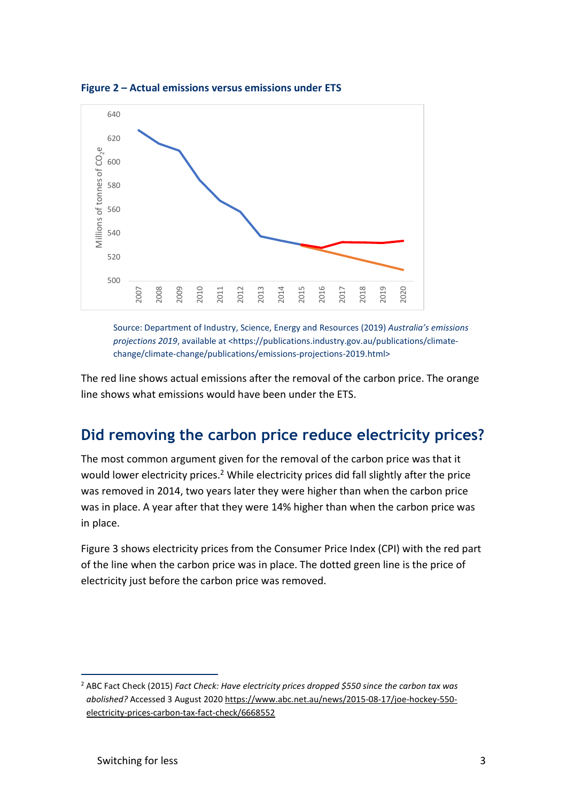

Figure 2 – Actual emissions versus emissions under ETS

Source: Department of Industry, Science, Energy and Resources (2019) Australia's emissions projections 2019, available at <https://publications.industry.gov.au/publications/climatechange/climate-change/publications/emissions-projections-2019.html>

The red line shows actual emissions after the removal of the carbon price. The orange line shows what emissions would have been under the ETS.

#### Did removing the carbon price reduce electricity prices?

The most common argument given for the removal of the carbon price was that it would lower electricity prices.<sup>2</sup> While electricity prices did fall slightly after the price was removed in 2014, two years later they were higher than when the carbon price was in place. A year after that they were 14% higher than when the carbon price was in place.

Figure 3 shows electricity prices from the Consumer Price Index (CPI) with the red part of the line when the carbon price was in place. The dotted green line is the price of electricity just before the carbon price was removed.

<sup>&</sup>lt;sup>2</sup> ABC Fact Check (2015) Fact Check: Have electricity prices dropped \$550 since the carbon tax was abolished? Accessed 3 August 2020 https://www.abc.net.au/news/2015-08-17/joe-hockey-550 electricity-prices-carbon-tax-fact-check/6668552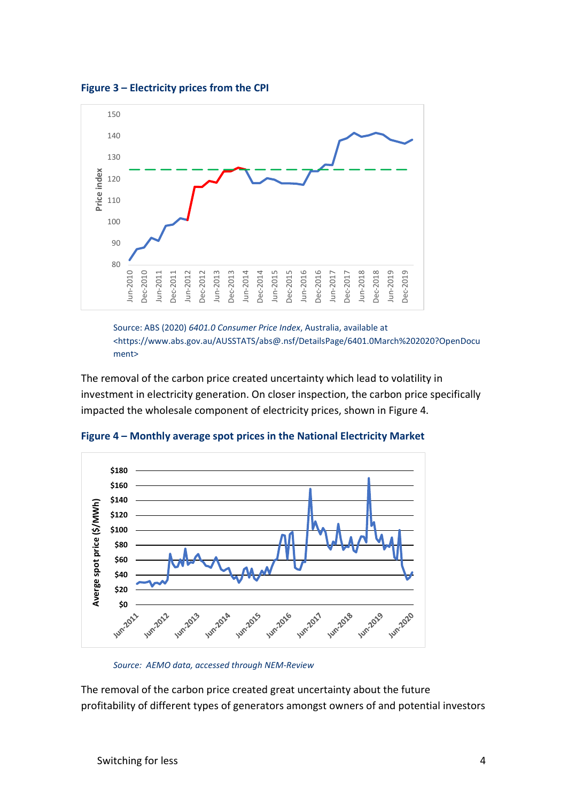



Source: ABS (2020) 6401.0 Consumer Price Index, Australia, available at <https://www.abs.gov.au/AUSSTATS/abs@.nsf/DetailsPage/6401.0March%202020?OpenDocu ment>

The removal of the carbon price created uncertainty which lead to volatility in investment in electricity generation. On closer inspection, the carbon price specifically impacted the wholesale component of electricity prices, shown in Figure 4.



Figure 4 – Monthly average spot prices in the National Electricity Market

The removal of the carbon price created great uncertainty about the future profitability of different types of generators amongst owners of and potential investors

Source: AEMO data, accessed through NEM-Review